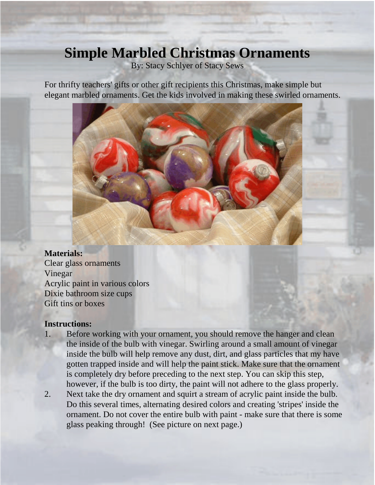## **Simple Marbled Christmas Ornaments**

By: Stacy Schlyer of Stacy Sews

For thrifty teachers' gifts or other gift recipients this Christmas, make simple but elegant marbled ornaments. Get the kids involved in making these swirled ornaments.



## **Materials:**

Clear glass ornaments Vinegar Acrylic paint in various colors Dixie bathroom size cups Gift tins or boxes

## **Instructions:**

- 1. Before working with your ornament, you should remove the hanger and clean the inside of the bulb with vinegar. Swirling around a small amount of vinegar inside the bulb will help remove any dust, dirt, and glass particles that my have gotten trapped inside and will help the paint stick. Make sure that the ornament is completely dry before preceding to the next step. You can skip this step, however, if the bulb is too dirty, the paint will not adhere to the glass properly.
- 2. Next take the dry ornament and squirt a stream of acrylic paint inside the bulb. Do this several times, alternating desired colors and creating 'stripes' inside the ornament. Do not cover the entire bulb with paint - make sure that there is some glass peaking through! (See picture on next page.)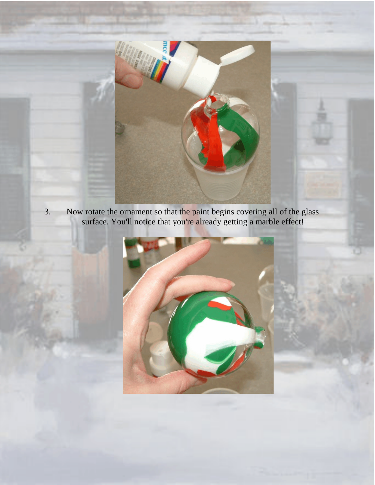

3. Now rotate the ornament so that the paint begins covering all of the glass surface. You'll notice that you're already getting a marble effect!

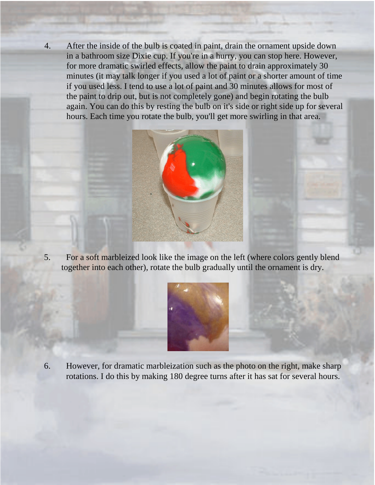4. After the inside of the bulb is coated in paint, drain the ornament upside down in a bathroom size Dixie cup. If you're in a hurry, you can stop here. However, for more dramatic swirled effects, allow the paint to drain approximately 30 minutes (it may talk longer if you used a lot of paint or a shorter amount of time if you used less. I tend to use a lot of paint and 30 minutes allows for most of the paint to drip out, but is not completely gone) and begin rotating the bulb again. You can do this by resting the bulb on it's side or right side up for several hours. Each time you rotate the bulb, you'll get more swirling in that area.



5. For a soft marbleized look like the image on the left (where colors gently blend together into each other), rotate the bulb gradually until the ornament is dry.



6. However, for dramatic marbleization such as the photo on the right, make sharp rotations. I do this by making 180 degree turns after it has sat for several hours.